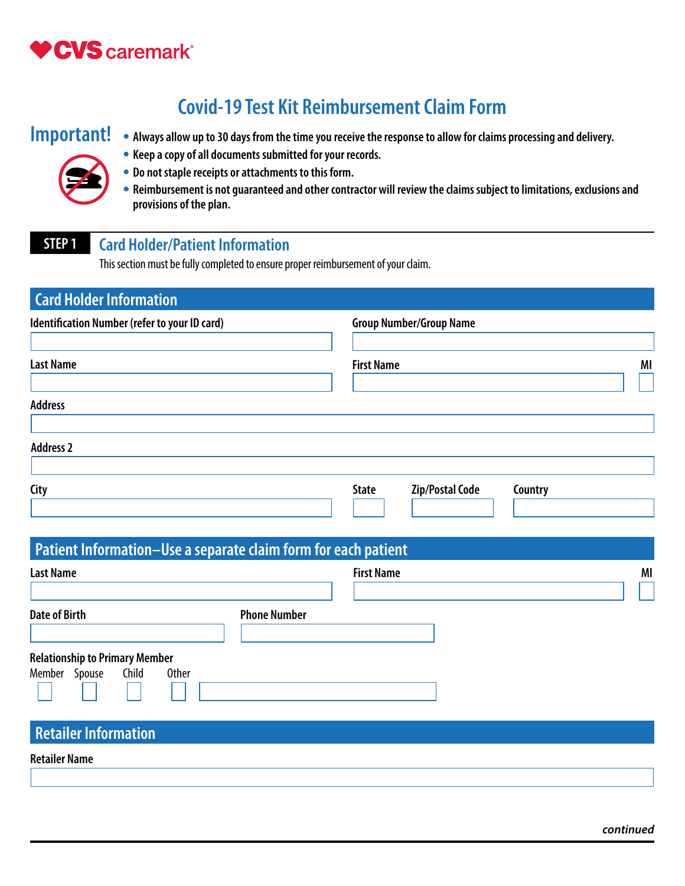

# **Covid-19 Test Kit Reimbursement Claim Form**

- **Important! Always allow up to 30 days from the time you receive the response to allow for claims processing and delivery.** 
	- **Keep a copy of all documents submitted for your records.**
	- **Do not staple receipts or attachments to this form.**
	- **Reimbursement is not guaranteed and other contractor will review the claims subject to limitations, exclusions and provisions of the plan.**

# **STEP 1 Card Holder/Patient Information**

This section must be fully completed to ensure proper reimbursement of your claim.

| <b>Card Holder Information</b>                                 |                                                   |    |
|----------------------------------------------------------------|---------------------------------------------------|----|
| Identification Number (refer to your ID card)                  | <b>Group Number/Group Name</b>                    |    |
|                                                                |                                                   |    |
| <b>Last Name</b>                                               | <b>First Name</b>                                 | MI |
|                                                                |                                                   |    |
| <b>Address</b>                                                 |                                                   |    |
|                                                                |                                                   |    |
| <b>Address 2</b>                                               |                                                   |    |
| <b>City</b>                                                    | <b>Zip/Postal Code</b><br><b>State</b><br>Country |    |
|                                                                |                                                   |    |
|                                                                |                                                   |    |
| Patient Information-Use a separate claim form for each patient |                                                   |    |
| <b>Last Name</b>                                               | <b>First Name</b>                                 | MI |
|                                                                |                                                   |    |
| <b>Date of Birth</b><br><b>Phone Number</b>                    |                                                   |    |
|                                                                |                                                   |    |
| <b>Relationship to Primary Member</b>                          |                                                   |    |
| Member Spouse<br>Child<br><b>Other</b>                         |                                                   |    |
|                                                                |                                                   |    |
|                                                                |                                                   |    |
| <b>Retailer Information</b>                                    |                                                   |    |

**Retailer Name**